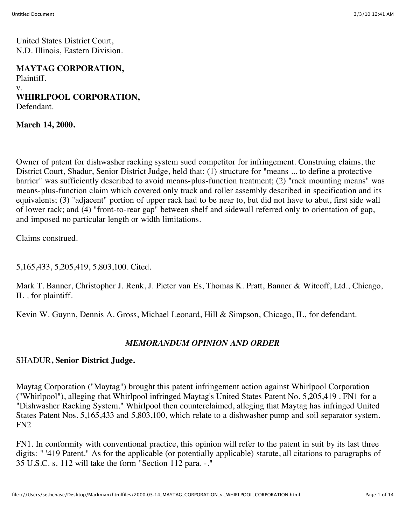United States District Court, N.D. Illinois, Eastern Division.

**MAYTAG CORPORATION,** Plaintiff.

v. **WHIRLPOOL CORPORATION,** Defendant.

**March 14, 2000.**

Owner of patent for dishwasher racking system sued competitor for infringement. Construing claims, the District Court, Shadur, Senior District Judge, held that: (1) structure for "means ... to define a protective barrier" was sufficiently described to avoid means-plus-function treatment; (2) "rack mounting means" was means-plus-function claim which covered only track and roller assembly described in specification and its equivalents; (3) "adjacent" portion of upper rack had to be near to, but did not have to abut, first side wall of lower rack; and (4) "front-to-rear gap" between shelf and sidewall referred only to orientation of gap, and imposed no particular length or width limitations.

Claims construed.

5,165,433, 5,205,419, 5,803,100. Cited.

Mark T. Banner, Christopher J. Renk, J. Pieter van Es, Thomas K. Pratt, Banner & Witcoff, Ltd., Chicago, IL *,* for plaintiff.

Kevin W. Guynn, Dennis A. Gross, Michael Leonard, Hill & Simpson, Chicago, IL, for defendant.

# *MEMORANDUM OPINION AND ORDER*

# SHADUR**, Senior District Judge.**

Maytag Corporation ("Maytag") brought this patent infringement action against Whirlpool Corporation ("Whirlpool"), alleging that Whirlpool infringed Maytag's United States Patent No. 5,205,419 . FN1 for a "Dishwasher Racking System." Whirlpool then counterclaimed, alleging that Maytag has infringed United States Patent Nos. 5,165,433 and 5,803,100, which relate to a dishwasher pump and soil separator system. FN2

FN1. In conformity with conventional practice, this opinion will refer to the patent in suit by its last three digits: " '419 Patent." As for the applicable (or potentially applicable) statute, all citations to paragraphs of 35 U.S.C. s. 112 will take the form "Section 112 para. -."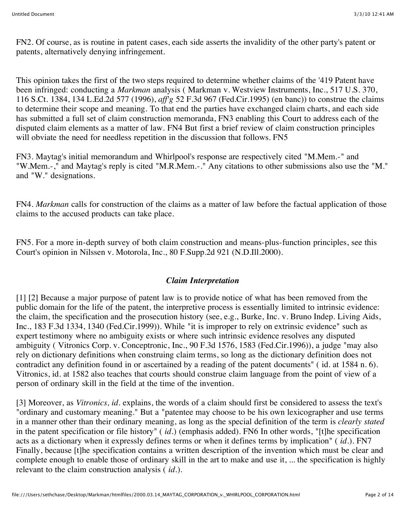FN2. Of course, as is routine in patent cases, each side asserts the invalidity of the other party's patent or patents, alternatively denying infringement.

This opinion takes the first of the two steps required to determine whether claims of the '419 Patent have been infringed: conducting a *Markman* analysis ( Markman v. Westview Instruments, Inc., 517 U.S. 370, 116 S.Ct. 1384, 134 L.Ed.2d 577 (1996), *aff'g* 52 F.3d 967 (Fed.Cir.1995) (en banc)) to construe the claims to determine their scope and meaning. To that end the parties have exchanged claim charts, and each side has submitted a full set of claim construction memoranda, FN3 enabling this Court to address each of the disputed claim elements as a matter of law. FN4 But first a brief review of claim construction principles will obviate the need for needless repetition in the discussion that follows. FN5

FN3. Maytag's initial memorandum and Whirlpool's response are respectively cited "M.Mem.-" and "W.Mem.-," and Maytag's reply is cited "M.R.Mem.-." Any citations to other submissions also use the "M." and "W." designations.

FN4. *Markman* calls for construction of the claims as a matter of law before the factual application of those claims to the accused products can take place.

FN5. For a more in-depth survey of both claim construction and means-plus-function principles, see this Court's opinion in Nilssen v. Motorola, Inc., 80 F.Supp.2d 921 (N.D.Ill.2000).

#### *Claim Interpretation*

[1] [2] Because a major purpose of patent law is to provide notice of what has been removed from the public domain for the life of the patent, the interpretive process is essentially limited to intrinsic evidence: the claim, the specification and the prosecution history (see, e.g., Burke, Inc. v. Bruno Indep. Living Aids, Inc., 183 F.3d 1334, 1340 (Fed.Cir.1999)). While "it is improper to rely on extrinsic evidence" such as expert testimony where no ambiguity exists or where such intrinsic evidence resolves any disputed ambiguity ( Vitronics Corp. v. Conceptronic, Inc., 90 F.3d 1576, 1583 (Fed.Cir.1996)), a judge "may also rely on dictionary definitions when construing claim terms, so long as the dictionary definition does not contradict any definition found in or ascertained by a reading of the patent documents" ( id. at 1584 n. 6). Vitronics, id. at 1582 also teaches that courts should construe claim language from the point of view of a person of ordinary skill in the field at the time of the invention.

[3] Moreover, as *Vitronics, id.* explains, the words of a claim should first be considered to assess the text's "ordinary and customary meaning." But a "patentee may choose to be his own lexicographer and use terms in a manner other than their ordinary meaning, as long as the special definition of the term is *clearly stated* in the patent specification or file history" ( *id.*) (emphasis added). FN6 In other words, "[t]he specification acts as a dictionary when it expressly defines terms or when it defines terms by implication" ( *id.*). FN7 Finally, because [t]he specification contains a written description of the invention which must be clear and complete enough to enable those of ordinary skill in the art to make and use it, ... the specification is highly relevant to the claim construction analysis ( *id.*).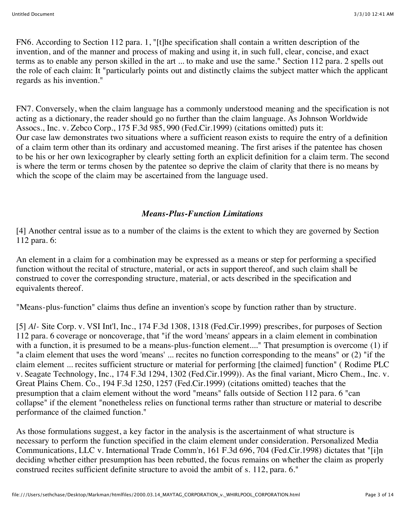FN6. According to Section 112 para. 1, "[t]he specification shall contain a written description of the invention, and of the manner and process of making and using it, in such full, clear, concise, and exact terms as to enable any person skilled in the art ... to make and use the same." Section 112 para. 2 spells out the role of each claim: It "particularly points out and distinctly claims the subject matter which the applicant regards as his invention."

FN7. Conversely, when the claim language has a commonly understood meaning and the specification is not acting as a dictionary, the reader should go no further than the claim language. As Johnson Worldwide Assocs., Inc. v. Zebco Corp., 175 F.3d 985, 990 (Fed.Cir.1999) (citations omitted) puts it: Our case law demonstrates two situations where a sufficient reason exists to require the entry of a definition of a claim term other than its ordinary and accustomed meaning. The first arises if the patentee has chosen to be his or her own lexicographer by clearly setting forth an explicit definition for a claim term. The second is where the term or terms chosen by the patentee so deprive the claim of clarity that there is no means by which the scope of the claim may be ascertained from the language used.

# *Means-Plus-Function Limitations*

[4] Another central issue as to a number of the claims is the extent to which they are governed by Section 112 para. 6:

An element in a claim for a combination may be expressed as a means or step for performing a specified function without the recital of structure, material, or acts in support thereof, and such claim shall be construed to cover the corresponding structure, material, or acts described in the specification and equivalents thereof.

"Means-plus-function" claims thus define an invention's scope by function rather than by structure.

[5] *Al-* Site Corp. v. VSI Int'l, Inc., 174 F.3d 1308, 1318 (Fed.Cir.1999) prescribes, for purposes of Section 112 para. 6 coverage or noncoverage, that "if the word 'means' appears in a claim element in combination with a function, it is presumed to be a means-plus-function element...." That presumption is overcome (1) if "a claim element that uses the word 'means' ... recites no function corresponding to the means" or (2) "if the claim element ... recites sufficient structure or material for performing [the claimed] function" ( Rodime PLC v. Seagate Technology, Inc., 174 F.3d 1294, 1302 (Fed.Cir.1999)). As the final variant, Micro Chem., Inc. v. Great Plains Chem. Co., 194 F.3d 1250, 1257 (Fed.Cir.1999) (citations omitted) teaches that the presumption that a claim element without the word "means" falls outside of Section 112 para. 6 "can collapse" if the element "nonetheless relies on functional terms rather than structure or material to describe performance of the claimed function."

As those formulations suggest, a key factor in the analysis is the ascertainment of what structure is necessary to perform the function specified in the claim element under consideration. Personalized Media Communications, LLC v. International Trade Comm'n, 161 F.3d 696, 704 (Fed.Cir.1998) dictates that "[i]n deciding whether either presumption has been rebutted, the focus remains on whether the claim as properly construed recites sufficient definite structure to avoid the ambit of s. 112, para. 6."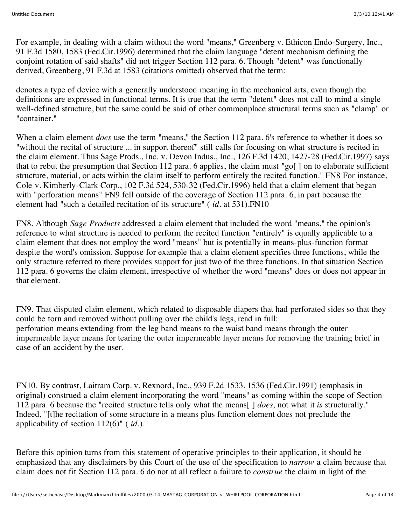For example, in dealing with a claim without the word "means," Greenberg v. Ethicon Endo-Surgery, Inc., 91 F.3d 1580, 1583 (Fed.Cir.1996) determined that the claim language "detent mechanism defining the conjoint rotation of said shafts" did not trigger Section 112 para. 6. Though "detent" was functionally derived, Greenberg, 91 F.3d at 1583 (citations omitted) observed that the term:

denotes a type of device with a generally understood meaning in the mechanical arts, even though the definitions are expressed in functional terms. It is true that the term "detent" does not call to mind a single well-defined structure, but the same could be said of other commonplace structural terms such as "clamp" or "container."

When a claim element *does* use the term "means," the Section 112 para. 6's reference to whether it does so "without the recital of structure ... in support thereof" still calls for focusing on what structure is recited in the claim element. Thus Sage Prods., Inc. v. Devon Indus., Inc., 126 F.3d 1420, 1427-28 (Fed.Cir.1997) says that to rebut the presumption that Section 112 para. 6 applies, the claim must "go[ ] on to elaborate sufficient structure, material, or acts within the claim itself to perform entirely the recited function." FN8 For instance, Cole v. Kimberly-Clark Corp., 102 F.3d 524, 530-32 (Fed.Cir.1996) held that a claim element that began with "perforation means" FN9 fell outside of the coverage of Section 112 para. 6, in part because the element had "such a detailed recitation of its structure" ( *id.* at 531).FN10

FN8. Although *Sage Products* addressed a claim element that included the word "means," the opinion's reference to what structure is needed to perform the recited function "entirely" is equally applicable to a claim element that does not employ the word "means" but is potentially in means-plus-function format despite the word's omission. Suppose for example that a claim element specifies three functions, while the only structure referred to there provides support for just two of the three functions. In that situation Section 112 para. 6 governs the claim element, irrespective of whether the word "means" does or does not appear in that element.

FN9. That disputed claim element, which related to disposable diapers that had perforated sides so that they could be torn and removed without pulling over the child's legs, read in full: perforation means extending from the leg band means to the waist band means through the outer impermeable layer means for tearing the outer impermeable layer means for removing the training brief in case of an accident by the user.

FN10. By contrast, Laitram Corp. v. Rexnord, Inc., 939 F.2d 1533, 1536 (Fed.Cir.1991) (emphasis in original) construed a claim element incorporating the word "means" as coming within the scope of Section 112 para. 6 because the "recited structure tells only what the means[ ] *does,* not what it *is* structurally." Indeed, "[t]he recitation of some structure in a means plus function element does not preclude the applicability of section 112(6)" ( *id.*).

Before this opinion turns from this statement of operative principles to their application, it should be emphasized that any disclaimers by this Court of the use of the specification to *narrow* a claim because that claim does not fit Section 112 para. 6 do not at all reflect a failure to *construe* the claim in light of the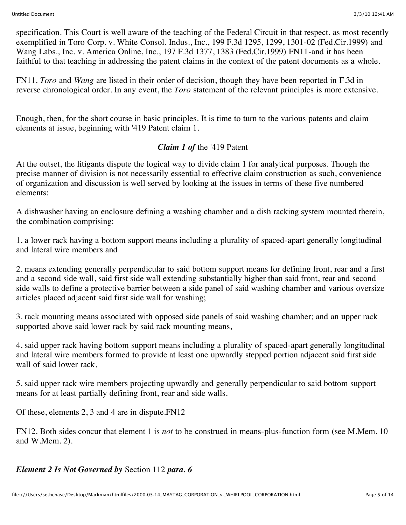specification. This Court is well aware of the teaching of the Federal Circuit in that respect, as most recently exemplified in Toro Corp. v. White Consol. Indus., Inc., 199 F.3d 1295, 1299, 1301-02 (Fed.Cir.1999) and Wang Labs., Inc. v. America Online, Inc., 197 F.3d 1377, 1383 (Fed.Cir.1999) FN11-and it has been faithful to that teaching in addressing the patent claims in the context of the patent documents as a whole.

FN11. *Toro* and *Wang* are listed in their order of decision, though they have been reported in F.3d in reverse chronological order. In any event, the *Toro* statement of the relevant principles is more extensive.

Enough, then, for the short course in basic principles. It is time to turn to the various patents and claim elements at issue, beginning with '419 Patent claim 1.

# *Claim 1 of* the '419 Patent

At the outset, the litigants dispute the logical way to divide claim 1 for analytical purposes. Though the precise manner of division is not necessarily essential to effective claim construction as such, convenience of organization and discussion is well served by looking at the issues in terms of these five numbered elements:

A dishwasher having an enclosure defining a washing chamber and a dish racking system mounted therein, the combination comprising:

1. a lower rack having a bottom support means including a plurality of spaced-apart generally longitudinal and lateral wire members and

2. means extending generally perpendicular to said bottom support means for defining front, rear and a first and a second side wall, said first side wall extending substantially higher than said front, rear and second side walls to define a protective barrier between a side panel of said washing chamber and various oversize articles placed adjacent said first side wall for washing;

3. rack mounting means associated with opposed side panels of said washing chamber; and an upper rack supported above said lower rack by said rack mounting means,

4. said upper rack having bottom support means including a plurality of spaced-apart generally longitudinal and lateral wire members formed to provide at least one upwardly stepped portion adjacent said first side wall of said lower rack,

5. said upper rack wire members projecting upwardly and generally perpendicular to said bottom support means for at least partially defining front, rear and side walls.

Of these, elements 2, 3 and 4 are in dispute.FN12

FN12. Both sides concur that element 1 is *not* to be construed in means-plus-function form (see M.Mem. 10 and W.Mem. 2).

*Element 2 Is Not Governed by* Section 112 *para. 6*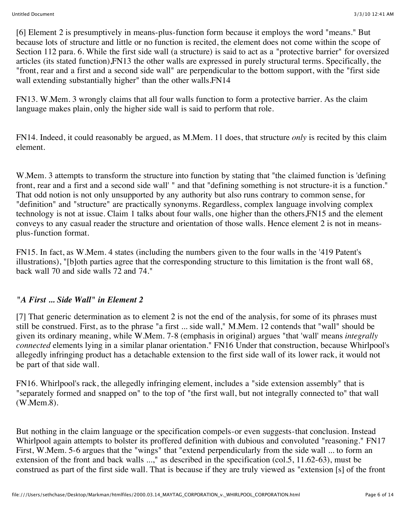[6] Element 2 is presumptively in means-plus-function form because it employs the word "means." But because lots of structure and little or no function is recited, the element does not come within the scope of Section 112 para. 6. While the first side wall (a structure) is said to act as a "protective barrier" for oversized articles (its stated function),FN13 the other walls are expressed in purely structural terms. Specifically, the "front, rear and a first and a second side wall" are perpendicular to the bottom support, with the "first side wall extending substantially higher" than the other walls.FN14

FN13. W.Mem. 3 wrongly claims that all four walls function to form a protective barrier. As the claim language makes plain, only the higher side wall is said to perform that role.

FN14. Indeed, it could reasonably be argued, as M.Mem. 11 does, that structure *only* is recited by this claim element.

W.Mem. 3 attempts to transform the structure into function by stating that "the claimed function is 'defining front, rear and a first and a second side wall' " and that "defining something is not structure-it is a function." That odd notion is not only unsupported by any authority but also runs contrary to common sense, for "definition" and "structure" are practically synonyms. Regardless, complex language involving complex technology is not at issue. Claim 1 talks about four walls, one higher than the others,FN15 and the element conveys to any casual reader the structure and orientation of those walls. Hence element 2 is not in meansplus-function format.

FN15. In fact, as W.Mem. 4 states (including the numbers given to the four walls in the '419 Patent's illustrations), "[b]oth parties agree that the corresponding structure to this limitation is the front wall 68, back wall 70 and side walls 72 and 74."

# *"A First ... Side Wall" in Element 2*

[7] That generic determination as to element 2 is not the end of the analysis, for some of its phrases must still be construed. First, as to the phrase "a first ... side wall," M.Mem. 12 contends that "wall" should be given its ordinary meaning, while W.Mem. 7-8 (emphasis in original) argues "that 'wall' means *integrally connected* elements lying in a similar planar orientation." FN16 Under that construction, because Whirlpool's allegedly infringing product has a detachable extension to the first side wall of its lower rack, it would not be part of that side wall.

FN16. Whirlpool's rack, the allegedly infringing element, includes a "side extension assembly" that is "separately formed and snapped on" to the top of "the first wall, but not integrally connected to" that wall (W.Mem.8).

But nothing in the claim language or the specification compels-or even suggests-that conclusion. Instead Whirlpool again attempts to bolster its proffered definition with dubious and convoluted "reasoning." FN17 First, W.Mem. 5-6 argues that the "wings" that "extend perpendicularly from the side wall ... to form an extension of the front and back walls ...," as described in the specification (col.5, 11.62-63), must be construed as part of the first side wall. That is because if they are truly viewed as "extension [s] of the front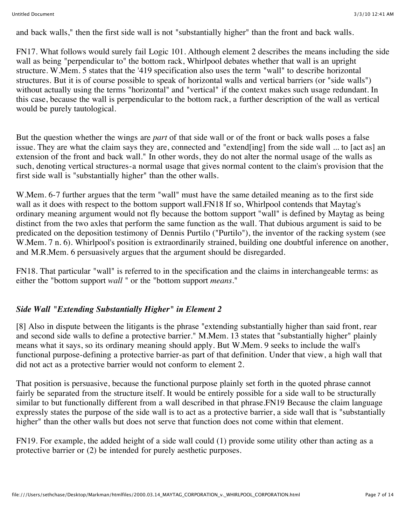and back walls," then the first side wall is not "substantially higher" than the front and back walls.

FN17. What follows would surely fail Logic 101. Although element 2 describes the means including the side wall as being "perpendicular to" the bottom rack, Whirlpool debates whether that wall is an upright structure. W.Mem. 5 states that the '419 specification also uses the term "wall" to describe horizontal structures. But it is of course possible to speak of horizontal walls and vertical barriers (or "side walls") without actually using the terms "horizontal" and "vertical" if the context makes such usage redundant. In this case, because the wall is perpendicular to the bottom rack, a further description of the wall as vertical would be purely tautological.

But the question whether the wings are *part* of that side wall or of the front or back walls poses a false issue. They are what the claim says they are, connected and "extend[ing] from the side wall ... to [act as] an extension of the front and back wall." In other words, they do not alter the normal usage of the walls as such, denoting vertical structures-a normal usage that gives normal content to the claim's provision that the first side wall is "substantially higher" than the other walls.

W.Mem. 6-7 further argues that the term "wall" must have the same detailed meaning as to the first side wall as it does with respect to the bottom support wall. FN18 If so, Whirlpool contends that Maytag's ordinary meaning argument would not fly because the bottom support "wall" is defined by Maytag as being distinct from the two axles that perform the same function as the wall. That dubious argument is said to be predicated on the deposition testimony of Dennis Purtilo ("Purtilo"), the inventor of the racking system (see W.Mem. 7 n. 6). Whirlpool's position is extraordinarily strained, building one doubtful inference on another, and M.R.Mem. 6 persuasively argues that the argument should be disregarded.

FN18. That particular "wall" is referred to in the specification and the claims in interchangeable terms: as either the "bottom support *wall* " or the "bottom support *means.*"

# *Side Wall "Extending Substantially Higher" in Element 2*

[8] Also in dispute between the litigants is the phrase "extending substantially higher than said front, rear and second side walls to define a protective barrier." M.Mem. 13 states that "substantially higher" plainly means what it says, so its ordinary meaning should apply. But W.Mem. 9 seeks to include the wall's functional purpose-defining a protective barrier-as part of that definition. Under that view, a high wall that did not act as a protective barrier would not conform to element 2.

That position is persuasive, because the functional purpose plainly set forth in the quoted phrase cannot fairly be separated from the structure itself. It would be entirely possible for a side wall to be structurally similar to but functionally different from a wall described in that phrase.FN19 Because the claim language expressly states the purpose of the side wall is to act as a protective barrier, a side wall that is "substantially higher" than the other walls but does not serve that function does not come within that element.

FN19. For example, the added height of a side wall could (1) provide some utility other than acting as a protective barrier or (2) be intended for purely aesthetic purposes.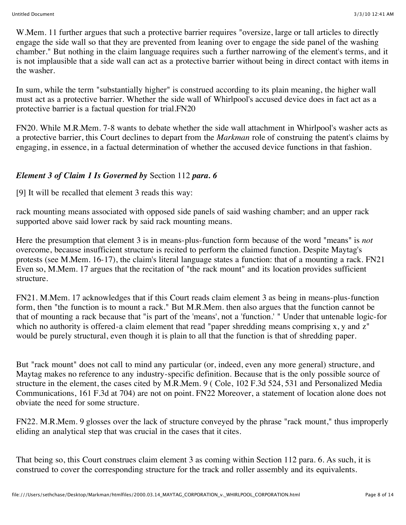W.Mem. 11 further argues that such a protective barrier requires "oversize, large or tall articles to directly engage the side wall so that they are prevented from leaning over to engage the side panel of the washing chamber." But nothing in the claim language requires such a further narrowing of the element's terms, and it is not implausible that a side wall can act as a protective barrier without being in direct contact with items in the washer.

In sum, while the term "substantially higher" is construed according to its plain meaning, the higher wall must act as a protective barrier. Whether the side wall of Whirlpool's accused device does in fact act as a protective barrier is a factual question for trial.FN20

FN20. While M.R.Mem. 7-8 wants to debate whether the side wall attachment in Whirlpool's washer acts as a protective barrier, this Court declines to depart from the *Markman* role of construing the patent's claims by engaging, in essence, in a factual determination of whether the accused device functions in that fashion.

# *Element 3 of Claim 1 Is Governed by* Section 112 *para. 6*

[9] It will be recalled that element 3 reads this way:

rack mounting means associated with opposed side panels of said washing chamber; and an upper rack supported above said lower rack by said rack mounting means.

Here the presumption that element 3 is in means-plus-function form because of the word "means" is *not* overcome, because insufficient structure is recited to perform the claimed function. Despite Maytag's protests (see M.Mem. 16-17), the claim's literal language states a function: that of a mounting a rack. FN21 Even so, M.Mem. 17 argues that the recitation of "the rack mount" and its location provides sufficient structure.

FN21. M.Mem. 17 acknowledges that if this Court reads claim element 3 as being in means-plus-function form, then "the function is to mount a rack." But M.R.Mem. then also argues that the function cannot be that of mounting a rack because that "is part of the 'means', not a 'function.' " Under that untenable logic-for which no authority is offered-a claim element that read "paper shredding means comprising x, y and z" would be purely structural, even though it is plain to all that the function is that of shredding paper.

But "rack mount" does not call to mind any particular (or, indeed, even any more general) structure, and Maytag makes no reference to any industry-specific definition. Because that is the only possible source of structure in the element, the cases cited by M.R.Mem. 9 ( Cole, 102 F.3d 524, 531 and Personalized Media Communications, 161 F.3d at 704) are not on point. FN22 Moreover, a statement of location alone does not obviate the need for some structure.

FN22. M.R.Mem. 9 glosses over the lack of structure conveyed by the phrase "rack mount," thus improperly eliding an analytical step that was crucial in the cases that it cites.

That being so, this Court construes claim element 3 as coming within Section 112 para. 6. As such, it is construed to cover the corresponding structure for the track and roller assembly and its equivalents.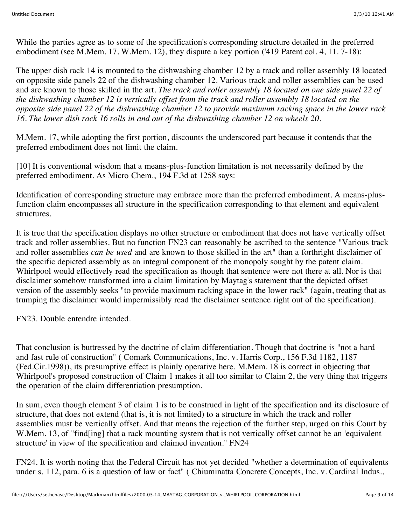While the parties agree as to some of the specification's corresponding structure detailed in the preferred embodiment (see M.Mem. 17, W.Mem. 12), they dispute a key portion ('419 Patent col. 4, 11. 7-18):

The upper dish rack 14 is mounted to the dishwashing chamber 12 by a track and roller assembly 18 located on opposite side panels 22 of the dishwashing chamber 12. Various track and roller assemblies can be used and are known to those skilled in the art. *The track and roller assembly 18 located on one side panel 22 of the dishwashing chamber 12 is vertically offset from the track and roller assembly 18 located on the opposite side panel 22 of the dishwashing chamber 12 to provide maximum racking space in the lower rack 16. The lower dish rack 16 rolls in and out of the dishwashing chamber 12 on wheels 20.*

M.Mem. 17, while adopting the first portion, discounts the underscored part because it contends that the preferred embodiment does not limit the claim.

[10] It is conventional wisdom that a means-plus-function limitation is not necessarily defined by the preferred embodiment. As Micro Chem., 194 F.3d at 1258 says:

Identification of corresponding structure may embrace more than the preferred embodiment. A means-plusfunction claim encompasses all structure in the specification corresponding to that element and equivalent structures.

It is true that the specification displays no other structure or embodiment that does not have vertically offset track and roller assemblies. But no function FN23 can reasonably be ascribed to the sentence "Various track and roller assemblies *can be used* and are known to those skilled in the art" than a forthright disclaimer of the specific depicted assembly as an integral component of the monopoly sought by the patent claim. Whirlpool would effectively read the specification as though that sentence were not there at all. Nor is that disclaimer somehow transformed into a claim limitation by Maytag's statement that the depicted offset version of the assembly seeks "to provide maximum racking space in the lower rack" (again, treating that as trumping the disclaimer would impermissibly read the disclaimer sentence right out of the specification).

FN23. Double entendre intended.

That conclusion is buttressed by the doctrine of claim differentiation. Though that doctrine is "not a hard and fast rule of construction" ( Comark Communications, Inc. v. Harris Corp., 156 F.3d 1182, 1187 (Fed.Cir.1998)), its presumptive effect is plainly operative here. M.Mem. 18 is correct in objecting that Whirlpool's proposed construction of Claim 1 makes it all too similar to Claim 2, the very thing that triggers the operation of the claim differentiation presumption.

In sum, even though element 3 of claim 1 is to be construed in light of the specification and its disclosure of structure, that does not extend (that is, it is not limited) to a structure in which the track and roller assemblies must be vertically offset. And that means the rejection of the further step, urged on this Court by W.Mem. 13, of "find[ing] that a rack mounting system that is not vertically offset cannot be an 'equivalent' structure' in view of the specification and claimed invention." FN24

FN24. It is worth noting that the Federal Circuit has not yet decided "whether a determination of equivalents under s. 112, para. 6 is a question of law or fact" ( Chiuminatta Concrete Concepts, Inc. v. Cardinal Indus.,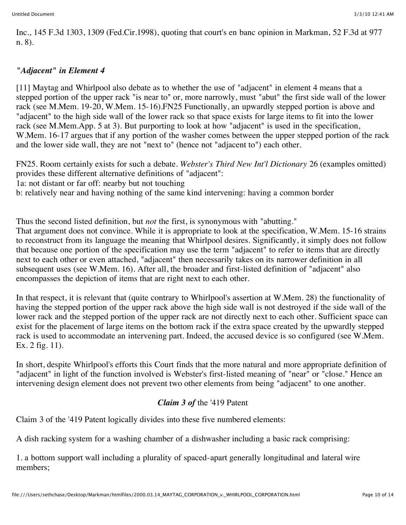Inc., 145 F.3d 1303, 1309 (Fed.Cir.1998), quoting that court's en banc opinion in Markman, 52 F.3d at 977 n. 8).

## *"Adjacent" in Element 4*

[11] Maytag and Whirlpool also debate as to whether the use of "adjacent" in element 4 means that a stepped portion of the upper rack "is near to" or, more narrowly, must "abut" the first side wall of the lower rack (see M.Mem. 19-20, W.Mem. 15-16).FN25 Functionally, an upwardly stepped portion is above and "adjacent" to the high side wall of the lower rack so that space exists for large items to fit into the lower rack (see M.Mem.App. 5 at 3). But purporting to look at how "adjacent" is used in the specification, W.Mem. 16-17 argues that if any portion of the washer comes between the upper stepped portion of the rack and the lower side wall, they are not "next to" (hence not "adjacent to") each other.

FN25. Room certainly exists for such a debate. *Webster's Third New Int'l Dictionary* 26 (examples omitted) provides these different alternative definitions of "adjacent":

1a: not distant or far off: nearby but not touching

b: relatively near and having nothing of the same kind intervening: having a common border

Thus the second listed definition, but *not* the first, is synonymous with "abutting."

That argument does not convince. While it is appropriate to look at the specification, W.Mem. 15-16 strains to reconstruct from its language the meaning that Whirlpool desires. Significantly, it simply does not follow that because one portion of the specification may use the term "adjacent" to refer to items that are directly next to each other or even attached, "adjacent" then necessarily takes on its narrower definition in all subsequent uses (see W.Mem. 16). After all, the broader and first-listed definition of "adjacent" also encompasses the depiction of items that are right next to each other.

In that respect, it is relevant that (quite contrary to Whirlpool's assertion at W.Mem. 28) the functionality of having the stepped portion of the upper rack above the high side wall is not destroyed if the side wall of the lower rack and the stepped portion of the upper rack are not directly next to each other. Sufficient space can exist for the placement of large items on the bottom rack if the extra space created by the upwardly stepped rack is used to accommodate an intervening part. Indeed, the accused device is so configured (see W.Mem. Ex. 2 fig. 11).

In short, despite Whirlpool's efforts this Court finds that the more natural and more appropriate definition of "adjacent" in light of the function involved is Webster's first-listed meaning of "near" or "close." Hence an intervening design element does not prevent two other elements from being "adjacent" to one another.

#### *Claim 3 of* the '419 Patent

Claim 3 of the '419 Patent logically divides into these five numbered elements:

A dish racking system for a washing chamber of a dishwasher including a basic rack comprising:

1. a bottom support wall including a plurality of spaced-apart generally longitudinal and lateral wire members;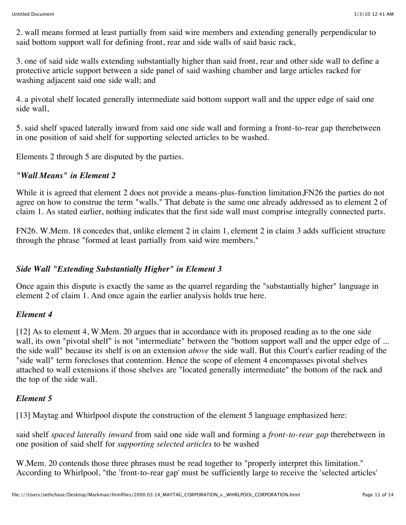2. wall means formed at least partially from said wire members and extending generally perpendicular to said bottom support wall for defining front, rear and side walls of said basic rack,

3. one of said side walls extending substantially higher than said front, rear and other side wall to define a protective article support between a side panel of said washing chamber and large articles racked for washing adjacent said one side wall; and

4. a pivotal shelf located generally intermediate said bottom support wall and the upper edge of said one side wall,

5. said shelf spaced laterally inward from said one side wall and forming a front-to-rear gap therebetween in one position of said shelf for supporting selected articles to be washed.

Elements 2 through 5 are disputed by the parties.

# *"Wall Means" in Element 2*

While it is agreed that element 2 does not provide a means-plus-function limitation, FN26 the parties do not agree on how to construe the term "walls." That debate is the same one already addressed as to element 2 of claim 1. As stated earlier, nothing indicates that the first side wall must comprise integrally connected parts.

FN26. W.Mem. 18 concedes that, unlike element 2 in claim 1, element 2 in claim 3 adds sufficient structure through the phrase "formed at least partially from said wire members."

#### *Side Wall "Extending Substantially Higher" in Element 3*

Once again this dispute is exactly the same as the quarrel regarding the "substantially higher" language in element 2 of claim 1. And once again the earlier analysis holds true here.

#### *Element 4*

[12] As to element 4, W.Mem. 20 argues that in accordance with its proposed reading as to the one side wall, its own "pivotal shelf" is not "intermediate" between the "bottom support wall and the upper edge of ... the side wall" because its shelf is on an extension *above* the side wall. But this Court's earlier reading of the "side wall" term forecloses that contention. Hence the scope of element 4 encompasses pivotal shelves attached to wall extensions if those shelves are "located generally intermediate" the bottom of the rack and the top of the side wall.

# *Element 5*

[13] Maytag and Whirlpool dispute the construction of the element 5 language emphasized here:

said shelf *spaced laterally inward* from said one side wall and forming a *front-to-rear gap* therebetween in one position of said shelf for *supporting selected articles* to be washed

W.Mem. 20 contends those three phrases must be read together to "properly interpret this limitation." According to Whirlpool, "the 'front-to-rear gap' must be sufficiently large to receive the 'selected articles'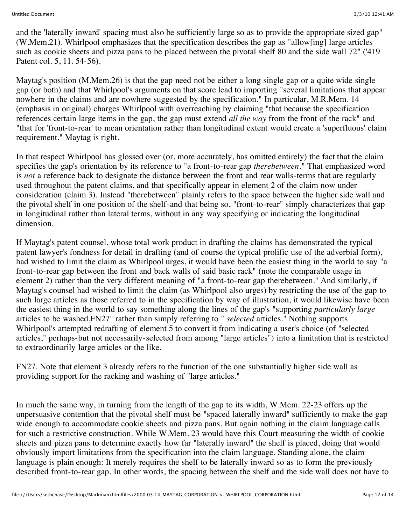and the 'laterally inward' spacing must also be sufficiently large so as to provide the appropriate sized gap" (W.Mem.21). Whirlpool emphasizes that the specification describes the gap as "allow[ing] large articles such as cookie sheets and pizza pans to be placed between the pivotal shelf 80 and the side wall 72" ('419 Patent col. 5, 11. 54-56).

Maytag's position (M.Mem.26) is that the gap need not be either a long single gap or a quite wide single gap (or both) and that Whirlpool's arguments on that score lead to importing "several limitations that appear nowhere in the claims and are nowhere suggested by the specification." In particular, M.R.Mem. 14 (emphasis in original) charges Whirlpool with overreaching by claiming "that because the specification references certain large items in the gap, the gap must extend *all the way* from the front of the rack" and "that for 'front-to-rear' to mean orientation rather than longitudinal extent would create a 'superfluous' claim requirement." Maytag is right.

In that respect Whirlpool has glossed over (or, more accurately, has omitted entirely) the fact that the claim specifies the gap's orientation by its reference to "a front-to-rear gap *therebetween.*" That emphasized word is *not* a reference back to designate the distance between the front and rear walls-terms that are regularly used throughout the patent claims, and that specifically appear in element 2 of the claim now under consideration (claim 3). Instead "therebetween" plainly refers to the space between the higher side wall and the pivotal shelf in one position of the shelf-and that being so, "front-to-rear" simply characterizes that gap in longitudinal rather than lateral terms, without in any way specifying or indicating the longitudinal dimension.

If Maytag's patent counsel, whose total work product in drafting the claims has demonstrated the typical patent lawyer's fondness for detail in drafting (and of course the typical prolific use of the adverbial form), had wished to limit the claim as Whirlpool urges, it would have been the easiest thing in the world to say "a front-to-rear gap between the front and back walls of said basic rack" (note the comparable usage in element 2) rather than the very different meaning of "a front-to-rear gap therebetween." And similarly, if Maytag's counsel had wished to limit the claim (as Whirlpool also urges) by restricting the use of the gap to such large articles as those referred to in the specification by way of illustration, it would likewise have been the easiest thing in the world to say something along the lines of the gap's "supporting *particularly large* articles to be washed,FN27" rather than simply referring to " *selected* articles." Nothing supports Whirlpool's attempted redrafting of element 5 to convert it from indicating a user's choice (of "selected articles," perhaps-but not necessarily-selected from among "large articles") into a limitation that is restricted to extraordinarily large articles or the like.

FN27. Note that element 3 already refers to the function of the one substantially higher side wall as providing support for the racking and washing of "large articles."

In much the same way, in turning from the length of the gap to its width, W.Mem. 22-23 offers up the unpersuasive contention that the pivotal shelf must be "spaced laterally inward" sufficiently to make the gap wide enough to accommodate cookie sheets and pizza pans. But again nothing in the claim language calls for such a restrictive construction. While W.Mem. 23 would have this Court measuring the width of cookie sheets and pizza pans to determine exactly how far "laterally inward" the shelf is placed, doing that would obviously import limitations from the specification into the claim language. Standing alone, the claim language is plain enough: It merely requires the shelf to be laterally inward so as to form the previously described front-to-rear gap. In other words, the spacing between the shelf and the side wall does not have to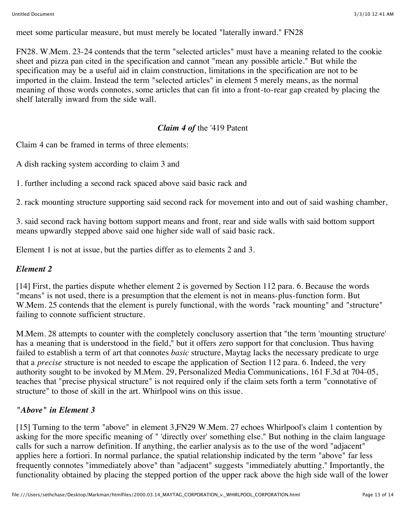meet some particular measure, but must merely be located "laterally inward." FN28

FN28. W.Mem. 23-24 contends that the term "selected articles" must have a meaning related to the cookie sheet and pizza pan cited in the specification and cannot "mean any possible article." But while the specification may be a useful aid in claim construction, limitations in the specification are not to be imported in the claim. Instead the term "selected articles" in element 5 merely means, as the normal meaning of those words connotes, some articles that can fit into a front-to-rear gap created by placing the shelf laterally inward from the side wall.

# *Claim 4 of* the '419 Patent

Claim 4 can be framed in terms of three elements:

A dish racking system according to claim 3 and

1. further including a second rack spaced above said basic rack and

2. rack mounting structure supporting said second rack for movement into and out of said washing chamber,

3. said second rack having bottom support means and front, rear and side walls with said bottom support means upwardly stepped above said one higher side wall of said basic rack.

Element 1 is not at issue, but the parties differ as to elements 2 and 3.

# *Element 2*

[14] First, the parties dispute whether element 2 is governed by Section 112 para. 6. Because the words "means" is not used, there is a presumption that the element is not in means-plus-function form. But W.Mem. 25 contends that the element is purely functional, with the words "rack mounting" and "structure" failing to connote sufficient structure.

M.Mem. 28 attempts to counter with the completely conclusory assertion that "the term 'mounting structure' has a meaning that is understood in the field," but it offers zero support for that conclusion. Thus having failed to establish a term of art that connotes *basic* structure, Maytag lacks the necessary predicate to urge that a *precise* structure is not needed to escape the application of Section 112 para. 6. Indeed, the very authority sought to be invoked by M.Mem. 29, Personalized Media Communications, 161 F.3d at 704-05, teaches that "precise physical structure" is not required only if the claim sets forth a term "connotative of structure" to those of skill in the art. Whirlpool wins on this issue.

# *"Above" in Element 3*

[15] Turning to the term "above" in element 3, FN29 W.Mem. 27 echoes Whirlpool's claim 1 contention by asking for the more specific meaning of " 'directly over' something else." But nothing in the claim language calls for such a narrow definition. If anything, the earlier analysis as to the use of the word "adjacent" applies here a fortiori. In normal parlance, the spatial relationship indicated by the term "above" far less frequently connotes "immediately above" than "adjacent" suggests "immediately abutting." Importantly, the functionality obtained by placing the stepped portion of the upper rack above the high side wall of the lower